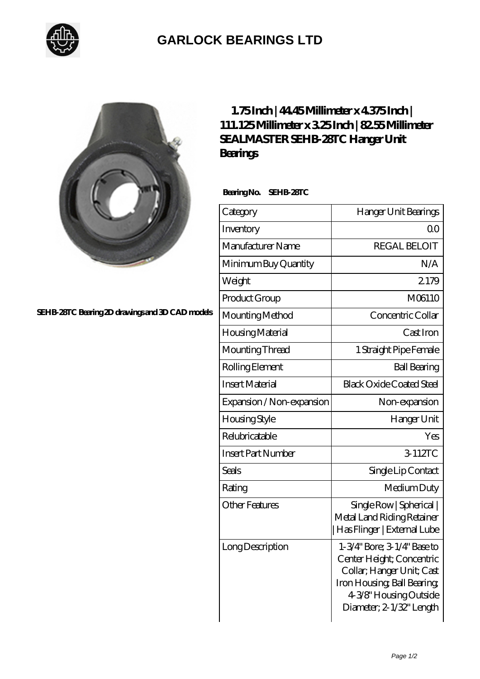

## **[GARLOCK BEARINGS LTD](https://m.letterstopriests.com)**



**[SEHB-28TC Bearing 2D drawings and 3D CAD models](https://m.letterstopriests.com/pic-189041.html)**

## **[1.75 Inch | 44.45 Millimeter x 4.375 Inch |](https://m.letterstopriests.com/aw-189041-sealmaster-sehb-28tc-hanger-unit-bearings.html) [111.125 Millimeter x 3.25 Inch | 82.55 Millimeter](https://m.letterstopriests.com/aw-189041-sealmaster-sehb-28tc-hanger-unit-bearings.html) [SEALMASTER SEHB-28TC Hanger Unit](https://m.letterstopriests.com/aw-189041-sealmaster-sehb-28tc-hanger-unit-bearings.html) [Bearings](https://m.letterstopriests.com/aw-189041-sealmaster-sehb-28tc-hanger-unit-bearings.html)**

 **Bearing No. SEHB-28TC**

| Category                  | Hanger Unit Bearings                                                                                                                                                       |
|---------------------------|----------------------------------------------------------------------------------------------------------------------------------------------------------------------------|
| Inventory                 | 0 <sup>0</sup>                                                                                                                                                             |
| Manufacturer Name         | <b>REGAL BELOIT</b>                                                                                                                                                        |
| Minimum Buy Quantity      | N/A                                                                                                                                                                        |
| Weight                    | 2179                                                                                                                                                                       |
| Product Group             | M06110                                                                                                                                                                     |
| Mounting Method           | Concentric Collar                                                                                                                                                          |
| Housing Material          | Cast Iron                                                                                                                                                                  |
| Mounting Thread           | 1 Straight Pipe Female                                                                                                                                                     |
| Rolling Element           | <b>Ball Bearing</b>                                                                                                                                                        |
| <b>Insert Material</b>    | <b>Black Oxide Coated Steel</b>                                                                                                                                            |
| Expansion / Non-expansion | Non-expansion                                                                                                                                                              |
| <b>Housing Style</b>      | Hanger Unit                                                                                                                                                                |
| Relubricatable            | Yes                                                                                                                                                                        |
| <b>Insert Part Number</b> | 3-112TC                                                                                                                                                                    |
| Seals                     | Single Lip Contact                                                                                                                                                         |
| Rating                    | Medium Duty                                                                                                                                                                |
| <b>Other Features</b>     | Single Row   Spherical  <br>Metal Land Riding Retainer<br>Has Flinger   External Lube                                                                                      |
| Long Description          | 1-3/4" Bore; 3-1/4" Base to<br>Center Height; Concentric<br>Collar; Hanger Unit; Cast<br>Iron Housing, Ball Bearing,<br>4-3/8" Housing Outside<br>Diameter; 2-1/32" Length |